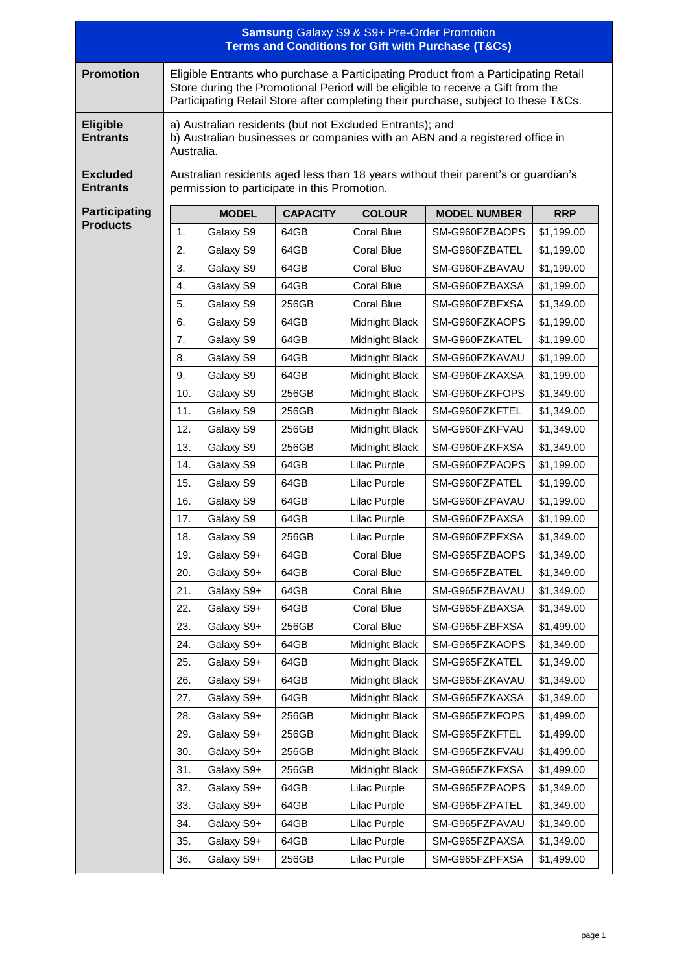| <b>Samsung Galaxy S9 &amp; S9+ Pre-Order Promotion</b><br><b>Terms and Conditions for Gift with Purchase (T&amp;Cs)</b> |                                                                                                                                                                                                                                                             |                          |                 |                                  |                                  |                          |  |  |  |  |
|-------------------------------------------------------------------------------------------------------------------------|-------------------------------------------------------------------------------------------------------------------------------------------------------------------------------------------------------------------------------------------------------------|--------------------------|-----------------|----------------------------------|----------------------------------|--------------------------|--|--|--|--|
| <b>Promotion</b>                                                                                                        | Eligible Entrants who purchase a Participating Product from a Participating Retail<br>Store during the Promotional Period will be eligible to receive a Gift from the<br>Participating Retail Store after completing their purchase, subject to these T&Cs. |                          |                 |                                  |                                  |                          |  |  |  |  |
| <b>Eligible</b><br><b>Entrants</b>                                                                                      | a) Australian residents (but not Excluded Entrants); and<br>b) Australian businesses or companies with an ABN and a registered office in<br>Australia.                                                                                                      |                          |                 |                                  |                                  |                          |  |  |  |  |
| <b>Excluded</b><br><b>Entrants</b>                                                                                      | Australian residents aged less than 18 years without their parent's or guardian's<br>permission to participate in this Promotion.                                                                                                                           |                          |                 |                                  |                                  |                          |  |  |  |  |
| <b>Participating</b>                                                                                                    |                                                                                                                                                                                                                                                             | <b>MODEL</b>             | <b>CAPACITY</b> | <b>COLOUR</b>                    | <b>MODEL NUMBER</b>              | <b>RRP</b>               |  |  |  |  |
| <b>Products</b>                                                                                                         | 1.                                                                                                                                                                                                                                                          | Galaxy S9                | 64GB            | <b>Coral Blue</b>                | SM-G960FZBAOPS                   | \$1,199.00               |  |  |  |  |
|                                                                                                                         | 2.                                                                                                                                                                                                                                                          | Galaxy S9                | 64GB            | Coral Blue                       | SM-G960FZBATEL                   | \$1,199.00               |  |  |  |  |
|                                                                                                                         | 3.                                                                                                                                                                                                                                                          | Galaxy S9                | 64GB            | Coral Blue                       | SM-G960FZBAVAU                   | \$1,199.00               |  |  |  |  |
|                                                                                                                         | 4.                                                                                                                                                                                                                                                          | Galaxy S9                | 64GB            | <b>Coral Blue</b>                | SM-G960FZBAXSA                   | \$1,199.00               |  |  |  |  |
|                                                                                                                         | 5.                                                                                                                                                                                                                                                          | Galaxy S9                | 256GB           | Coral Blue                       | SM-G960FZBFXSA                   | \$1,349.00               |  |  |  |  |
|                                                                                                                         | 6.                                                                                                                                                                                                                                                          | Galaxy S9                | 64GB            | Midnight Black                   | SM-G960FZKAOPS                   | \$1,199.00               |  |  |  |  |
|                                                                                                                         | 7.                                                                                                                                                                                                                                                          | Galaxy S9                | 64GB            | Midnight Black                   | SM-G960FZKATEL                   | \$1,199.00               |  |  |  |  |
|                                                                                                                         | 8.                                                                                                                                                                                                                                                          | Galaxy S9                | 64GB            | Midnight Black                   | SM-G960FZKAVAU                   | \$1,199.00               |  |  |  |  |
|                                                                                                                         | 9.                                                                                                                                                                                                                                                          | Galaxy S9                | 64GB            | Midnight Black                   | SM-G960FZKAXSA                   | \$1,199.00               |  |  |  |  |
|                                                                                                                         | 10.                                                                                                                                                                                                                                                         | Galaxy S9                | 256GB           | Midnight Black                   | SM-G960FZKFOPS                   | \$1,349.00               |  |  |  |  |
|                                                                                                                         | 11.                                                                                                                                                                                                                                                         | Galaxy S9                | 256GB           | Midnight Black                   | SM-G960FZKFTEL                   | \$1,349.00               |  |  |  |  |
|                                                                                                                         | 12.                                                                                                                                                                                                                                                         | Galaxy S9                | 256GB           | Midnight Black                   | SM-G960FZKFVAU                   | \$1,349.00               |  |  |  |  |
|                                                                                                                         | 13.                                                                                                                                                                                                                                                         | Galaxy S9                | 256GB           | Midnight Black                   | SM-G960FZKFXSA                   | \$1,349.00               |  |  |  |  |
|                                                                                                                         | 14.                                                                                                                                                                                                                                                         | Galaxy S9                | 64GB            | Lilac Purple                     | SM-G960FZPAOPS                   | \$1,199.00               |  |  |  |  |
|                                                                                                                         | 15.                                                                                                                                                                                                                                                         | Galaxy S9                | 64GB            | Lilac Purple                     | SM-G960FZPATEL                   | \$1,199.00               |  |  |  |  |
|                                                                                                                         | 16.                                                                                                                                                                                                                                                         | Galaxy S9                | 64GB            | Lilac Purple                     | SM-G960FZPAVAU                   | \$1,199.00               |  |  |  |  |
|                                                                                                                         | 17.                                                                                                                                                                                                                                                         | Galaxy S9                | 64GB            | Lilac Purple                     | SM-G960FZPAXSA                   | \$1,199.00               |  |  |  |  |
|                                                                                                                         | 18.                                                                                                                                                                                                                                                         | Galaxy S9                | 256GB           | Lilac Purple                     | SM-G960FZPFXSA                   | \$1,349.00               |  |  |  |  |
|                                                                                                                         | 19.                                                                                                                                                                                                                                                         | Galaxy S9+               | 64GB            | Coral Blue                       | SM-G965FZBAOPS                   | \$1,349.00               |  |  |  |  |
|                                                                                                                         | 20.                                                                                                                                                                                                                                                         | Galaxy S9+               | 64GB            | Coral Blue                       | SM-G965FZBATEL                   | \$1,349.00               |  |  |  |  |
|                                                                                                                         | 21.                                                                                                                                                                                                                                                         | Galaxy S9+               | 64GB            | <b>Coral Blue</b>                | SM-G965FZBAVAU                   | \$1,349.00               |  |  |  |  |
|                                                                                                                         | 22.                                                                                                                                                                                                                                                         | Galaxy S9+               | 64GB            | Coral Blue                       | SM-G965FZBAXSA                   | \$1,349.00               |  |  |  |  |
|                                                                                                                         | 23.                                                                                                                                                                                                                                                         | Galaxy S9+               | 256GB           | <b>Coral Blue</b>                | SM-G965FZBFXSA                   | \$1,499.00               |  |  |  |  |
|                                                                                                                         | 24.                                                                                                                                                                                                                                                         | Galaxy S9+               | 64GB            | Midnight Black                   | SM-G965FZKAOPS                   | \$1,349.00               |  |  |  |  |
|                                                                                                                         | 25.                                                                                                                                                                                                                                                         | Galaxy S9+               | 64GB            | Midnight Black                   | SM-G965FZKATEL                   | \$1,349.00               |  |  |  |  |
|                                                                                                                         | 26.                                                                                                                                                                                                                                                         | Galaxy S9+               | 64GB            | Midnight Black                   | SM-G965FZKAVAU                   | \$1,349.00               |  |  |  |  |
|                                                                                                                         | 27.                                                                                                                                                                                                                                                         | Galaxy S9+               | 64GB            | Midnight Black                   | SM-G965FZKAXSA                   | \$1,349.00               |  |  |  |  |
|                                                                                                                         | 28.<br>29.                                                                                                                                                                                                                                                  | Galaxy S9+               | 256GB           | Midnight Black                   | SM-G965FZKFOPS                   | \$1,499.00               |  |  |  |  |
|                                                                                                                         | 30.                                                                                                                                                                                                                                                         | Galaxy S9+<br>Galaxy S9+ | 256GB<br>256GB  | Midnight Black<br>Midnight Black | SM-G965FZKFTEL<br>SM-G965FZKFVAU | \$1,499.00<br>\$1,499.00 |  |  |  |  |
|                                                                                                                         |                                                                                                                                                                                                                                                             |                          |                 |                                  |                                  |                          |  |  |  |  |
|                                                                                                                         | 31.<br>32.                                                                                                                                                                                                                                                  | Galaxy S9+<br>Galaxy S9+ | 256GB<br>64GB   | Midnight Black<br>Lilac Purple   | SM-G965FZKFXSA<br>SM-G965FZPAOPS | \$1,499.00<br>\$1,349.00 |  |  |  |  |
|                                                                                                                         | 33.                                                                                                                                                                                                                                                         | Galaxy S9+               | 64GB            | Lilac Purple                     | SM-G965FZPATEL                   | \$1,349.00               |  |  |  |  |
|                                                                                                                         | 34.                                                                                                                                                                                                                                                         | Galaxy S9+               | 64GB            | Lilac Purple                     | SM-G965FZPAVAU                   | \$1,349.00               |  |  |  |  |
|                                                                                                                         | 35.                                                                                                                                                                                                                                                         | Galaxy S9+               | 64GB            | Lilac Purple                     | SM-G965FZPAXSA                   | \$1,349.00               |  |  |  |  |
|                                                                                                                         | 36.                                                                                                                                                                                                                                                         | Galaxy S9+               | 256GB           | Lilac Purple                     | SM-G965FZPFXSA                   | \$1,499.00               |  |  |  |  |
|                                                                                                                         |                                                                                                                                                                                                                                                             |                          |                 |                                  |                                  |                          |  |  |  |  |